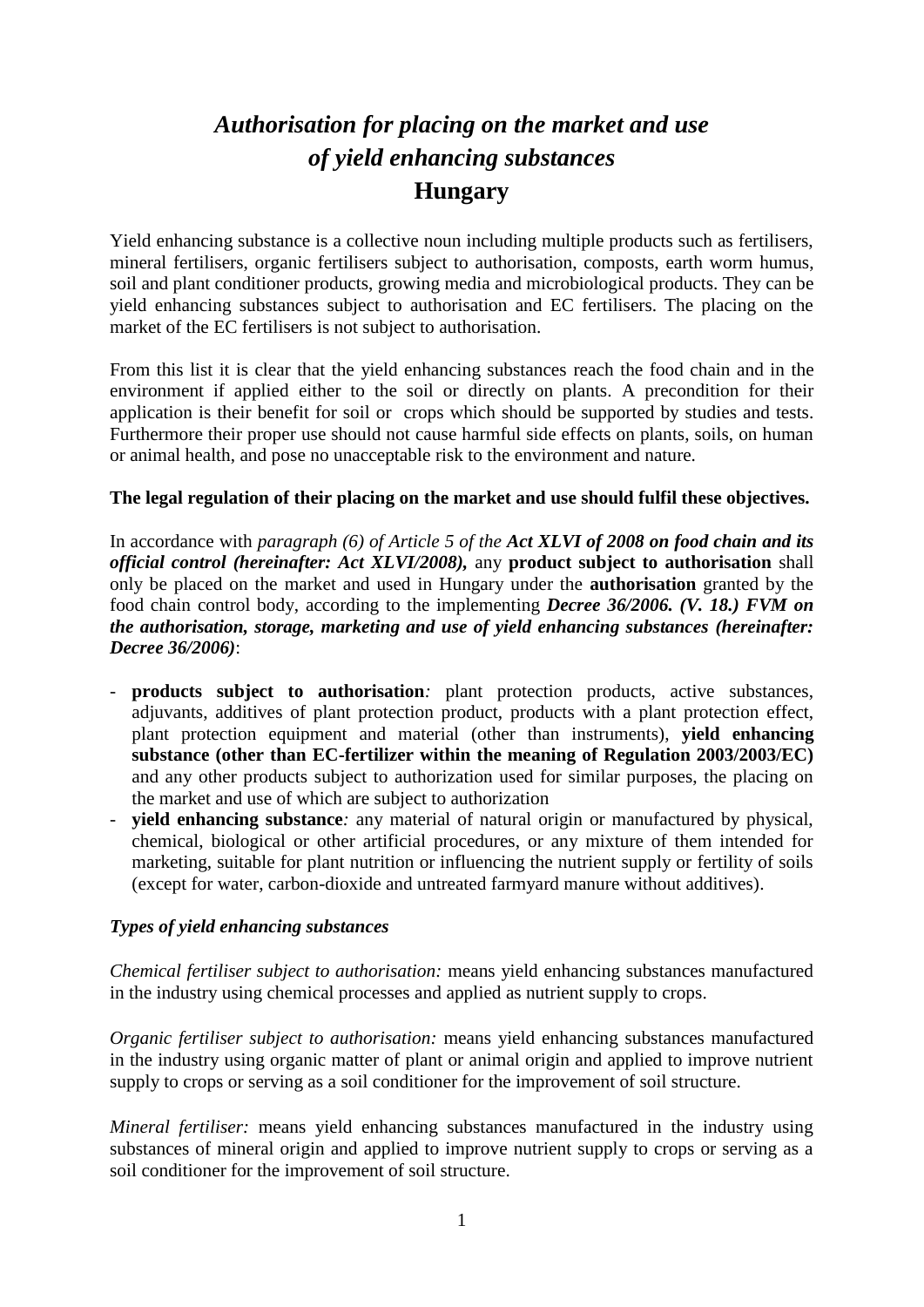# *Authorisation for placing on the market and use of yield enhancing substances* **Hungary**

Yield enhancing substance is a collective noun including multiple products such as fertilisers, mineral fertilisers, organic fertilisers subject to authorisation, composts, earth worm humus, soil and plant conditioner products, growing media and microbiological products. They can be yield enhancing substances subject to authorisation and EC fertilisers. The placing on the market of the EC fertilisers is not subject to authorisation.

From this list it is clear that the yield enhancing substances reach the food chain and in the environment if applied either to the soil or directly on plants. A precondition for their application is their benefit for soil or crops which should be supported by studies and tests. Furthermore their proper use should not cause harmful side effects on plants, soils, on human or animal health, and pose no unacceptable risk to the environment and nature.

## **The legal regulation of their placing on the market and use should fulfil these objectives.**

In accordance with *paragraph (6) of Article 5 of the Act XLVI of 2008 on food chain and its official control (hereinafter: Act XLVI/2008),* any **product subject to authorisation** shall only be placed on the market and used in Hungary under the **authorisation** granted by the food chain control body, according to the implementing *Decree 36/2006. (V. 18.) FVM on the authorisation, storage, marketing and use of yield enhancing substances (hereinafter: Decree 36/2006)*:

- **products subject to authorisation***:* plant protection products, active substances, adjuvants, additives of plant protection product, products with a plant protection effect, plant protection equipment and material (other than instruments), **yield enhancing substance (other than EC-fertilizer within the meaning of Regulation 2003/2003/EC)** and any other products subject to authorization used for similar purposes, the placing on the market and use of which are subject to authorization
- **yield enhancing substance**: any material of natural origin or manufactured by physical, chemical, biological or other artificial procedures, or any mixture of them intended for marketing, suitable for plant nutrition or influencing the nutrient supply or fertility of soils (except for water, carbon-dioxide and untreated farmyard manure without additives).

# *Types of yield enhancing substances*

*Chemical fertiliser subject to authorisation:* means yield enhancing substances manufactured in the industry using chemical processes and applied as nutrient supply to crops.

*Organic fertiliser subject to authorisation:* means yield enhancing substances manufactured in the industry using organic matter of plant or animal origin and applied to improve nutrient supply to crops or serving as a soil conditioner for the improvement of soil structure.

*Mineral fertiliser:* means yield enhancing substances manufactured in the industry using substances of mineral origin and applied to improve nutrient supply to crops or serving as a soil conditioner for the improvement of soil structure.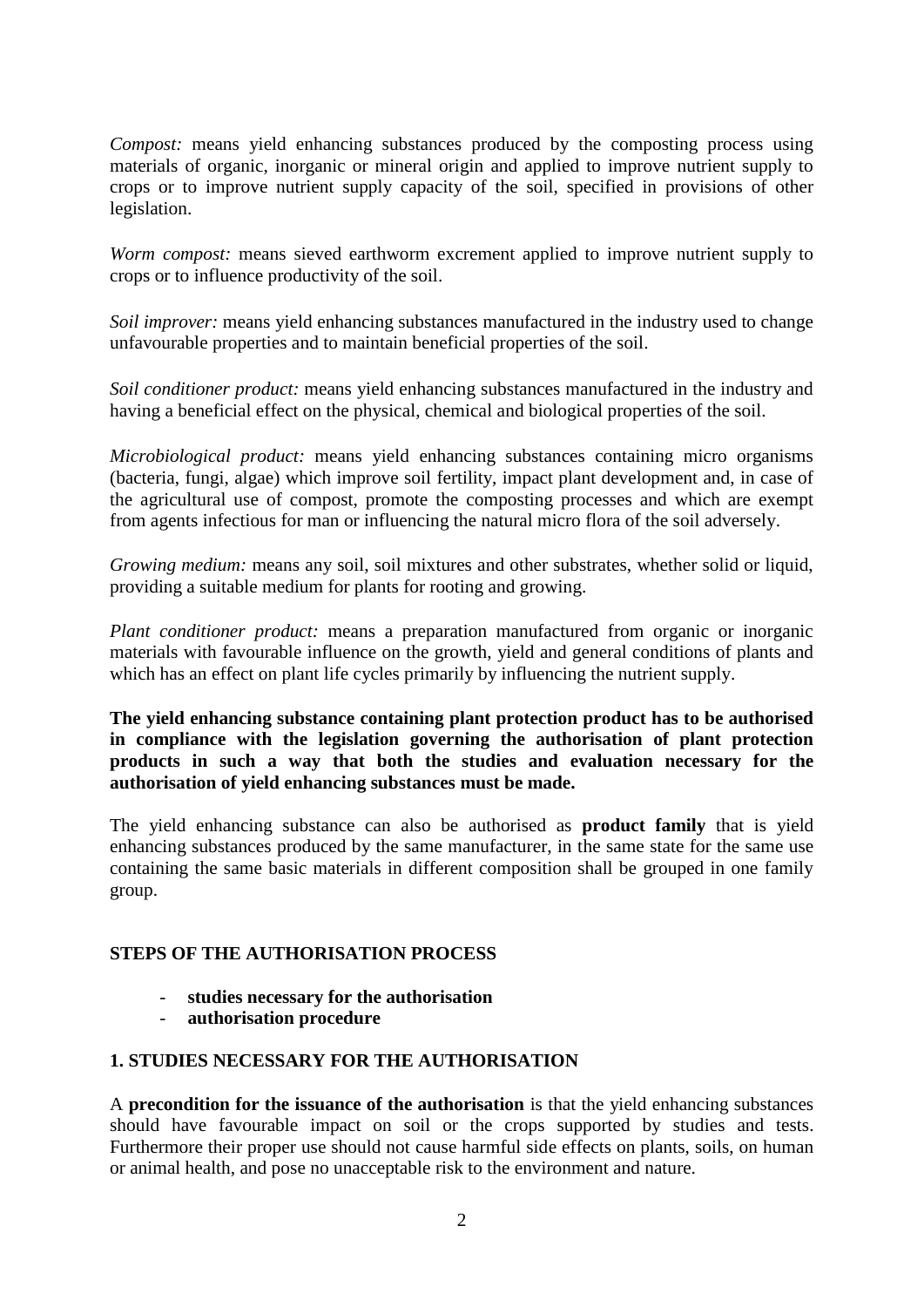*Compost:* means yield enhancing substances produced by the composting process using materials of organic, inorganic or mineral origin and applied to improve nutrient supply to crops or to improve nutrient supply capacity of the soil, specified in provisions of other legislation.

*Worm compost:* means sieved earthworm excrement applied to improve nutrient supply to crops or to influence productivity of the soil.

*Soil improver:* means yield enhancing substances manufactured in the industry used to change unfavourable properties and to maintain beneficial properties of the soil.

*Soil conditioner product:* means yield enhancing substances manufactured in the industry and having a beneficial effect on the physical, chemical and biological properties of the soil.

*Microbiological product:* means yield enhancing substances containing micro organisms (bacteria, fungi, algae) which improve soil fertility, impact plant development and, in case of the agricultural use of compost, promote the composting processes and which are exempt from agents infectious for man or influencing the natural micro flora of the soil adversely.

*Growing medium:* means any soil, soil mixtures and other substrates, whether solid or liquid, providing a suitable medium for plants for rooting and growing.

*Plant conditioner product:* means a preparation manufactured from organic or inorganic materials with favourable influence on the growth, yield and general conditions of plants and which has an effect on plant life cycles primarily by influencing the nutrient supply.

**The yield enhancing substance containing plant protection product has to be authorised in compliance with the legislation governing the authorisation of plant protection products in such a way that both the studies and evaluation necessary for the authorisation of yield enhancing substances must be made.** 

The yield enhancing substance can also be authorised as **product family** that is yield enhancing substances produced by the same manufacturer, in the same state for the same use containing the same basic materials in different composition shall be grouped in one family group.

#### **STEPS OF THE AUTHORISATION PROCESS**

- **studies necessary for the authorisation**
- **authorisation procedure**

# **1. STUDIES NECESSARY FOR THE AUTHORISATION**

A **precondition for the issuance of the authorisation** is that the yield enhancing substances should have favourable impact on soil or the crops supported by studies and tests. Furthermore their proper use should not cause harmful side effects on plants, soils, on human or animal health, and pose no unacceptable risk to the environment and nature.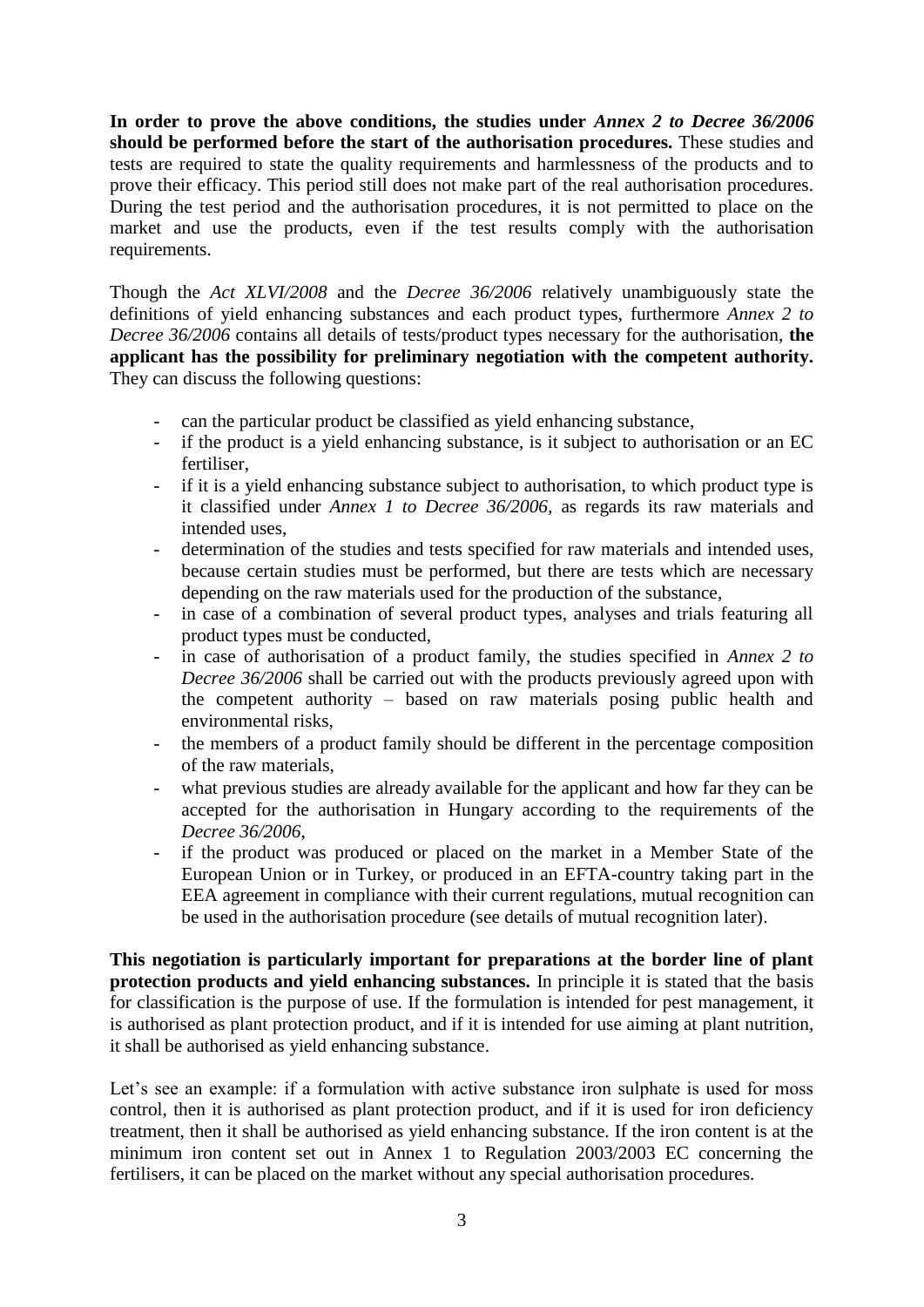**In order to prove the above conditions, the studies under** *Annex 2 to Decree 36/2006*  **should be performed before the start of the authorisation procedures.** These studies and tests are required to state the quality requirements and harmlessness of the products and to prove their efficacy. This period still does not make part of the real authorisation procedures. During the test period and the authorisation procedures, it is not permitted to place on the market and use the products, even if the test results comply with the authorisation requirements.

Though the *Act XLVI/2008* and the *Decree 36/2006* relatively unambiguously state the definitions of yield enhancing substances and each product types, furthermore *Annex 2 to Decree 36/2006* contains all details of tests/product types necessary for the authorisation, **the applicant has the possibility for preliminary negotiation with the competent authority.** They can discuss the following questions:

- can the particular product be classified as yield enhancing substance,
- if the product is a yield enhancing substance, is it subject to authorisation or an EC fertiliser,
- if it is a yield enhancing substance subject to authorisation, to which product type is it classified under *Annex 1 to Decree 36/2006,* as regards its raw materials and intended uses,
- determination of the studies and tests specified for raw materials and intended uses, because certain studies must be performed, but there are tests which are necessary depending on the raw materials used for the production of the substance,
- in case of a combination of several product types, analyses and trials featuring all product types must be conducted,
- in case of authorisation of a product family, the studies specified in *Annex 2 to Decree 36/2006* shall be carried out with the products previously agreed upon with the competent authority – based on raw materials posing public health and environmental risks,
- the members of a product family should be different in the percentage composition of the raw materials,
- what previous studies are already available for the applicant and how far they can be accepted for the authorisation in Hungary according to the requirements of the *Decree 36/2006*,
- if the product was produced or placed on the market in a Member State of the European Union or in Turkey, or produced in an EFTA-country taking part in the EEA agreement in compliance with their current regulations, mutual recognition can be used in the authorisation procedure (see details of mutual recognition later).

**This negotiation is particularly important for preparations at the border line of plant protection products and yield enhancing substances.** In principle it is stated that the basis for classification is the purpose of use. If the formulation is intended for pest management, it is authorised as plant protection product, and if it is intended for use aiming at plant nutrition, it shall be authorised as yield enhancing substance.

Let's see an example: if a formulation with active substance iron sulphate is used for moss control, then it is authorised as plant protection product, and if it is used for iron deficiency treatment, then it shall be authorised as yield enhancing substance. If the iron content is at the minimum iron content set out in Annex 1 to Regulation 2003/2003 EC concerning the fertilisers, it can be placed on the market without any special authorisation procedures.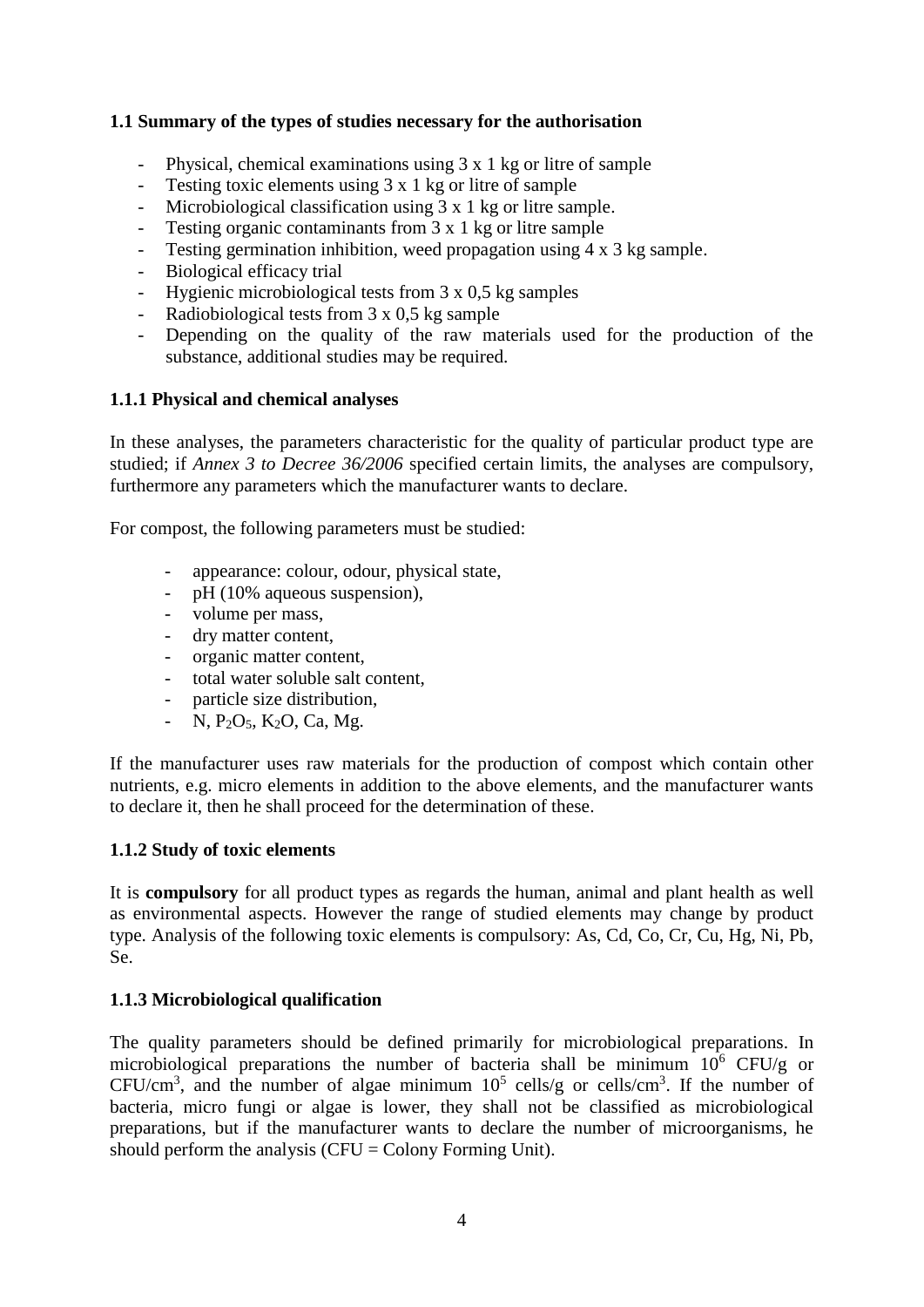# **1.1 Summary of the types of studies necessary for the authorisation**

- Physical, chemical examinations using 3 x 1 kg or litre of sample
- Testing toxic elements using 3 x 1 kg or litre of sample
- Microbiological classification using 3 x 1 kg or litre sample.
- Testing organic contaminants from 3 x 1 kg or litre sample
- Testing germination inhibition, weed propagation using 4 x 3 kg sample.
- Biological efficacy trial
- Hygienic microbiological tests from 3 x 0,5 kg samples
- Radiobiological tests from  $3 \times 0.5$  kg sample
- Depending on the quality of the raw materials used for the production of the substance, additional studies may be required.

## **1.1.1 Physical and chemical analyses**

In these analyses, the parameters characteristic for the quality of particular product type are studied; if *Annex 3 to Decree 36/2006* specified certain limits, the analyses are compulsory, furthermore any parameters which the manufacturer wants to declare.

For compost, the following parameters must be studied:

- appearance: colour, odour, physical state,
- pH (10% aqueous suspension).
- volume per mass,
- dry matter content,
- organic matter content,
- total water soluble salt content,
- particle size distribution,
- N,  $P_2O_5$ , K<sub>2</sub>O, Ca, Mg.

If the manufacturer uses raw materials for the production of compost which contain other nutrients, e.g. micro elements in addition to the above elements, and the manufacturer wants to declare it, then he shall proceed for the determination of these.

#### **1.1.2 Study of toxic elements**

It is **compulsory** for all product types as regards the human, animal and plant health as well as environmental aspects. However the range of studied elements may change by product type. Analysis of the following toxic elements is compulsory: As, Cd, Co, Cr, Cu, Hg, Ni, Pb, Se.

# **1.1.3 Microbiological qualification**

The quality parameters should be defined primarily for microbiological preparations. In microbiological preparations the number of bacteria shall be minimum  $10^6$  CFU/g or CFU/cm<sup>3</sup>, and the number of algae minimum  $10^5$  cells/g or cells/cm<sup>3</sup>. If the number of bacteria, micro fungi or algae is lower, they shall not be classified as microbiological preparations, but if the manufacturer wants to declare the number of microorganisms, he should perform the analysis  $(CFU = Colony$  Forming Unit).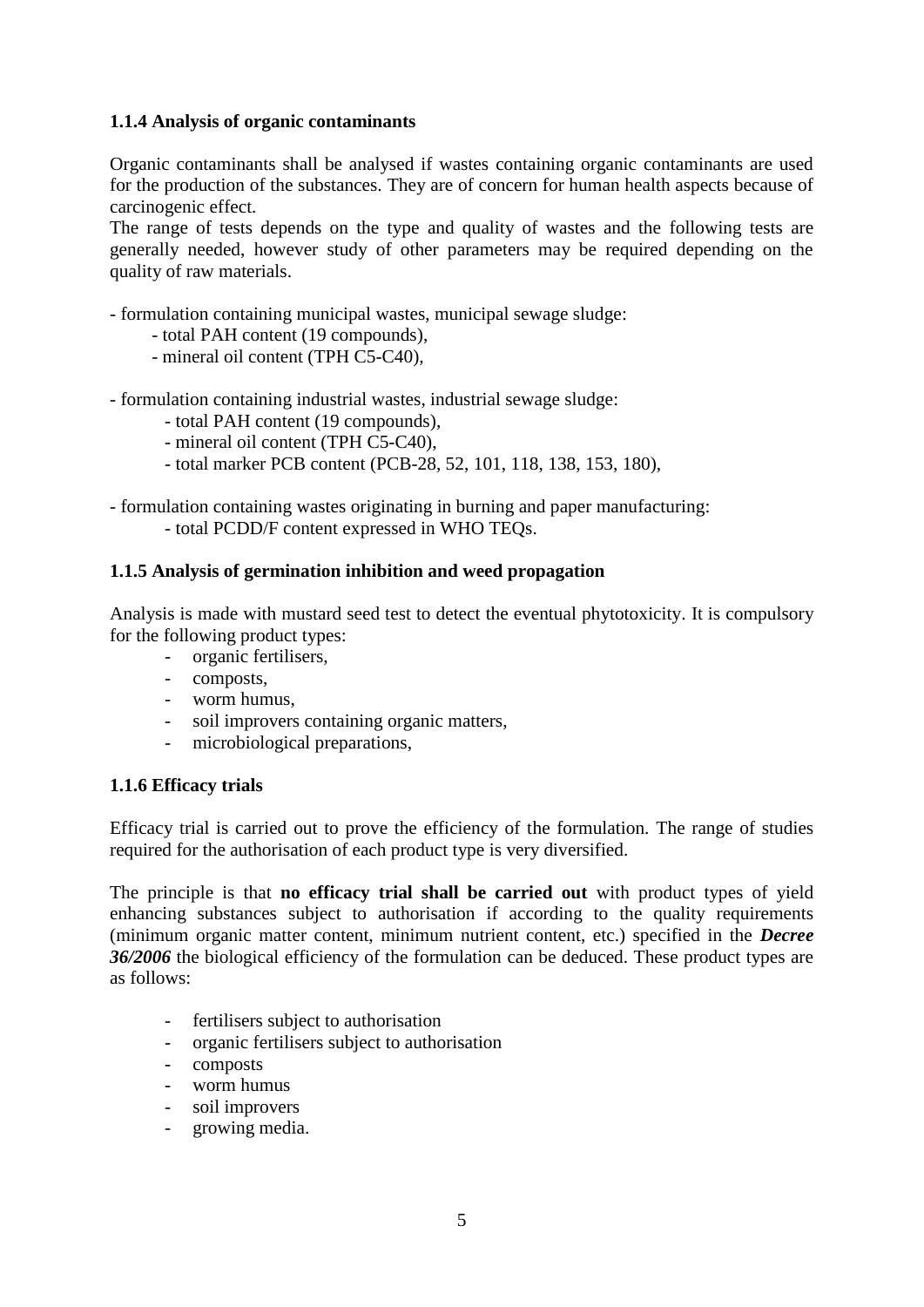# **1.1.4 Analysis of organic contaminants**

Organic contaminants shall be analysed if wastes containing organic contaminants are used for the production of the substances. They are of concern for human health aspects because of carcinogenic effect.

The range of tests depends on the type and quality of wastes and the following tests are generally needed, however study of other parameters may be required depending on the quality of raw materials.

- formulation containing municipal wastes, municipal sewage sludge:

- total PAH content (19 compounds),
- mineral oil content (TPH C5-C40),
- formulation containing industrial wastes, industrial sewage sludge:
	- total PAH content (19 compounds),
	- mineral oil content (TPH C5-C40),
	- total marker PCB content (PCB-28, 52, 101, 118, 138, 153, 180),

- formulation containing wastes originating in burning and paper manufacturing: - total PCDD/F content expressed in WHO TEQs.

#### **1.1.5 Analysis of germination inhibition and weed propagation**

Analysis is made with mustard seed test to detect the eventual phytotoxicity. It is compulsory for the following product types:

- organic fertilisers,
- composts,
- worm humus,
- soil improvers containing organic matters,
- microbiological preparations,

#### **1.1.6 Efficacy trials**

Efficacy trial is carried out to prove the efficiency of the formulation. The range of studies required for the authorisation of each product type is very diversified.

The principle is that **no efficacy trial shall be carried out** with product types of yield enhancing substances subject to authorisation if according to the quality requirements (minimum organic matter content, minimum nutrient content, etc.) specified in the *Decree 36/2006* the biological efficiency of the formulation can be deduced. These product types are as follows:

- fertilisers subject to authorisation
- organic fertilisers subject to authorisation
- composts
- worm humus
- soil improvers
- growing media.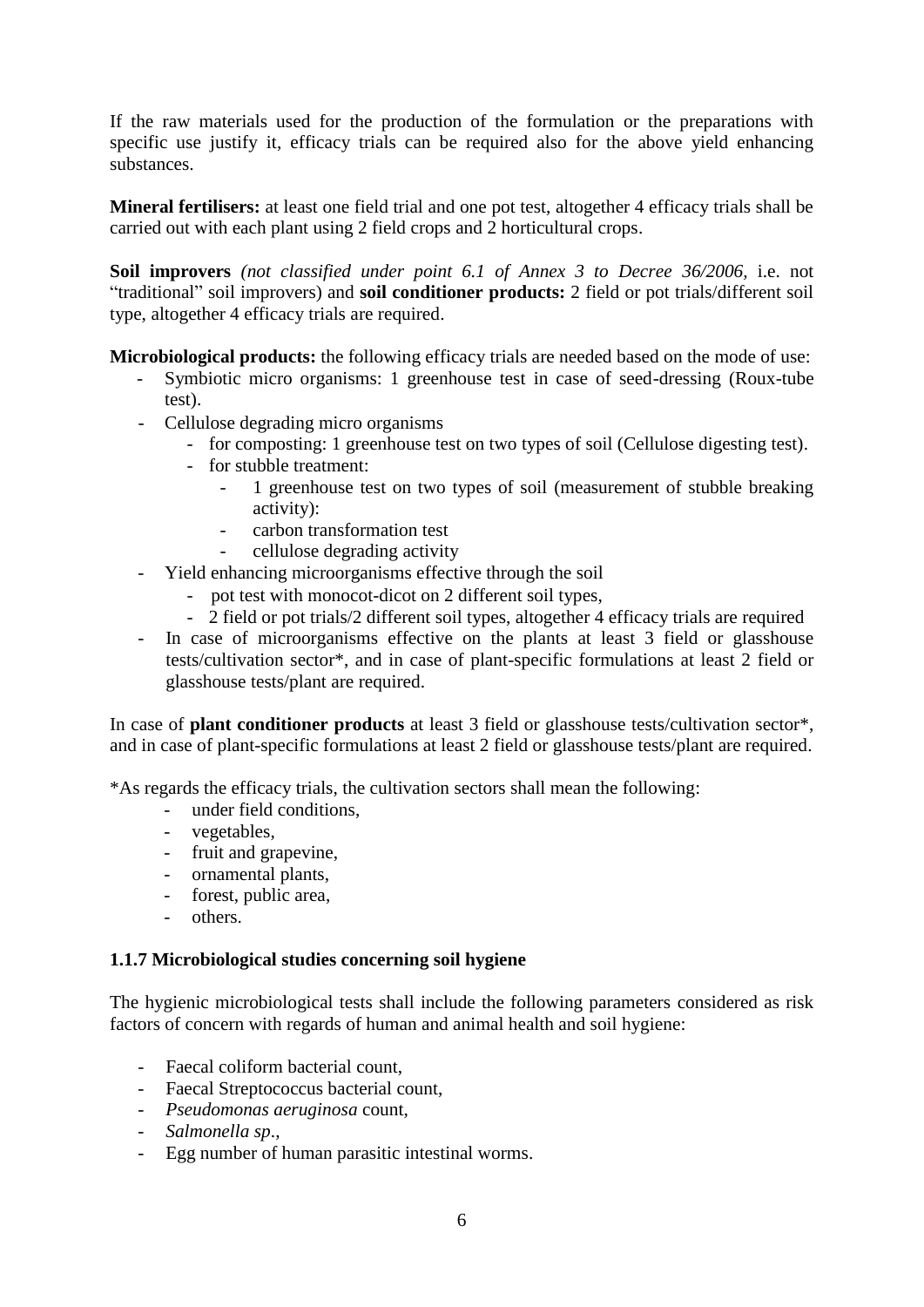If the raw materials used for the production of the formulation or the preparations with specific use justify it, efficacy trials can be required also for the above yield enhancing substances.

**Mineral fertilisers:** at least one field trial and one pot test, altogether 4 efficacy trials shall be carried out with each plant using 2 field crops and 2 horticultural crops.

**Soil improvers** *(not classified under point 6.1 of Annex 3 to Decree 36/2006,* i.e. not "traditional" soil improvers) and **soil conditioner products:** 2 field or pot trials/different soil type, altogether 4 efficacy trials are required.

**Microbiological products:** the following efficacy trials are needed based on the mode of use:

- Symbiotic micro organisms: 1 greenhouse test in case of seed-dressing (Roux-tube test).
- Cellulose degrading micro organisms
	- for composting: 1 greenhouse test on two types of soil (Cellulose digesting test).
	- for stubble treatment:
		- 1 greenhouse test on two types of soil (measurement of stubble breaking activity):
		- carbon transformation test
		- cellulose degrading activity
- Yield enhancing microorganisms effective through the soil
	- pot test with monocot-dicot on 2 different soil types,
	- 2 field or pot trials/2 different soil types, altogether 4 efficacy trials are required
- In case of microorganisms effective on the plants at least 3 field or glasshouse tests/cultivation sector\*, and in case of plant-specific formulations at least 2 field or glasshouse tests/plant are required.

In case of **plant conditioner products** at least 3 field or glasshouse tests/cultivation sector\*, and in case of plant-specific formulations at least 2 field or glasshouse tests/plant are required.

\*As regards the efficacy trials, the cultivation sectors shall mean the following:

- under field conditions.
- vegetables,
- fruit and grapevine,
- ornamental plants,
- forest, public area,
- others.

# **1.1.7 Microbiological studies concerning soil hygiene**

The hygienic microbiological tests shall include the following parameters considered as risk factors of concern with regards of human and animal health and soil hygiene:

- Faecal coliform bacterial count,
- Faecal Streptococcus bacterial count,
- *Pseudomonas aeruginosa* count,
- *Salmonella sp*.,
- Egg number of human parasitic intestinal worms.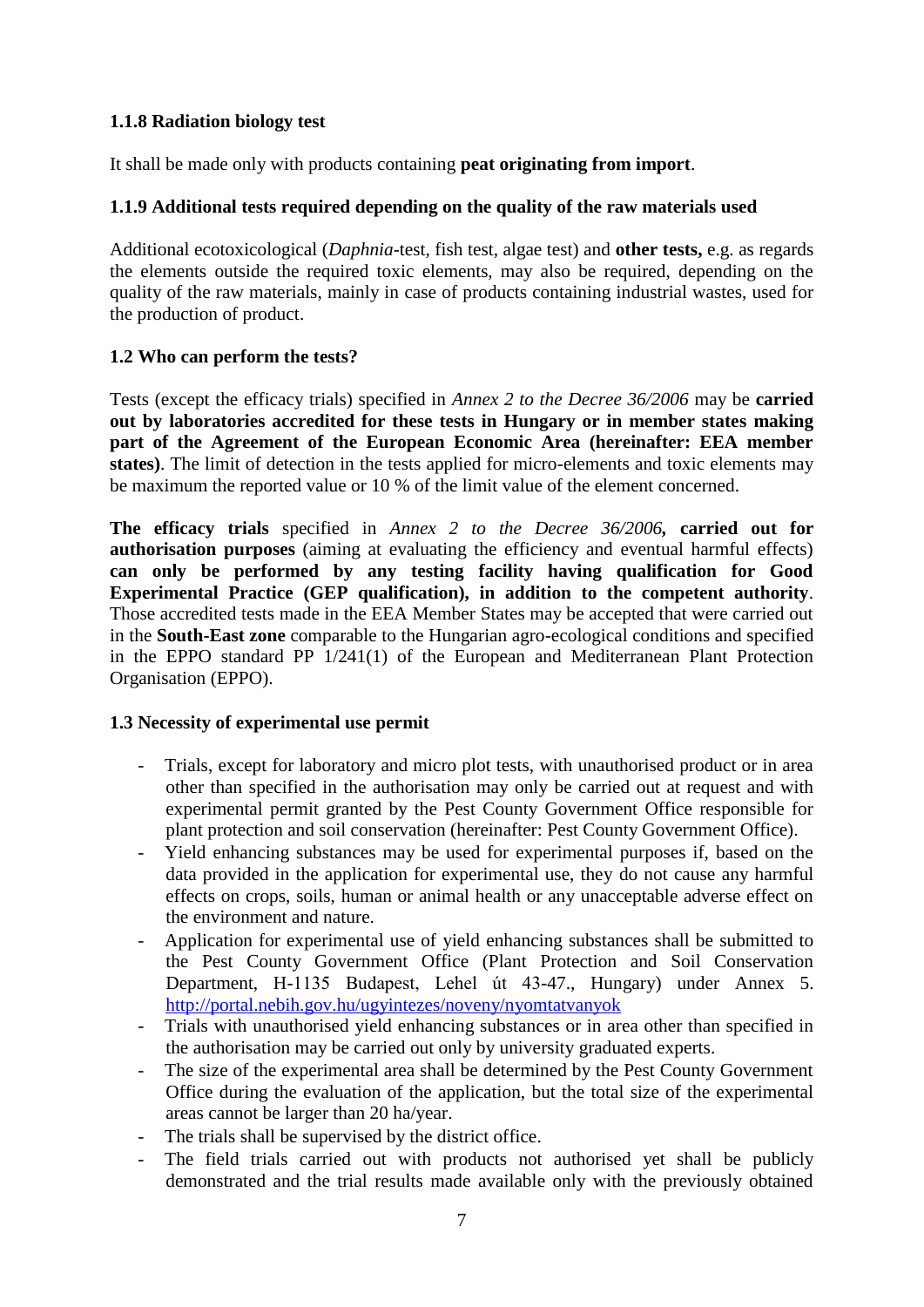# **1.1.8 Radiation biology test**

It shall be made only with products containing **peat originating from import**.

## **1.1.9 Additional tests required depending on the quality of the raw materials used**

Additional ecotoxicological (*Daphnia*-test, fish test, algae test) and **other tests,** e.g. as regards the elements outside the required toxic elements, may also be required, depending on the quality of the raw materials, mainly in case of products containing industrial wastes, used for the production of product.

## **1.2 Who can perform the tests?**

Tests (except the efficacy trials) specified in *Annex 2 to the Decree 36/2006* may be **carried out by laboratories accredited for these tests in Hungary or in member states making part of the Agreement of the European Economic Area (hereinafter: EEA member states)**. The limit of detection in the tests applied for micro-elements and toxic elements may be maximum the reported value or 10 % of the limit value of the element concerned.

**The efficacy trials** specified in *Annex 2 to the Decree 36/2006,* **carried out for authorisation purposes** (aiming at evaluating the efficiency and eventual harmful effects) **can only be performed by any testing facility having qualification for Good Experimental Practice (GEP qualification), in addition to the competent authority**. Those accredited tests made in the EEA Member States may be accepted that were carried out in the **South-East zone** comparable to the Hungarian agro-ecological conditions and specified in the EPPO standard PP 1/241(1) of the European and Mediterranean Plant Protection Organisation (EPPO).

#### **1.3 Necessity of experimental use permit**

- Trials, except for laboratory and micro plot tests, with unauthorised product or in area other than specified in the authorisation may only be carried out at request and with experimental permit granted by the Pest County Government Office responsible for plant protection and soil conservation (hereinafter: Pest County Government Office).
- Yield enhancing substances may be used for experimental purposes if, based on the data provided in the application for experimental use, they do not cause any harmful effects on crops, soils, human or animal health or any unacceptable adverse effect on the environment and nature.
- Application for experimental use of yield enhancing substances shall be submitted to the Pest County Government Office (Plant Protection and Soil Conservation Department, H-1135 Budapest, Lehel út 43-47., Hungary) under Annex 5. <http://portal.nebih.gov.hu/ugyintezes/noveny/nyomtatvanyok>
- Trials with unauthorised yield enhancing substances or in area other than specified in the authorisation may be carried out only by university graduated experts.
- The size of the experimental area shall be determined by the Pest County Government Office during the evaluation of the application, but the total size of the experimental areas cannot be larger than 20 ha/year.
- The trials shall be supervised by the district office.
- The field trials carried out with products not authorised yet shall be publicly demonstrated and the trial results made available only with the previously obtained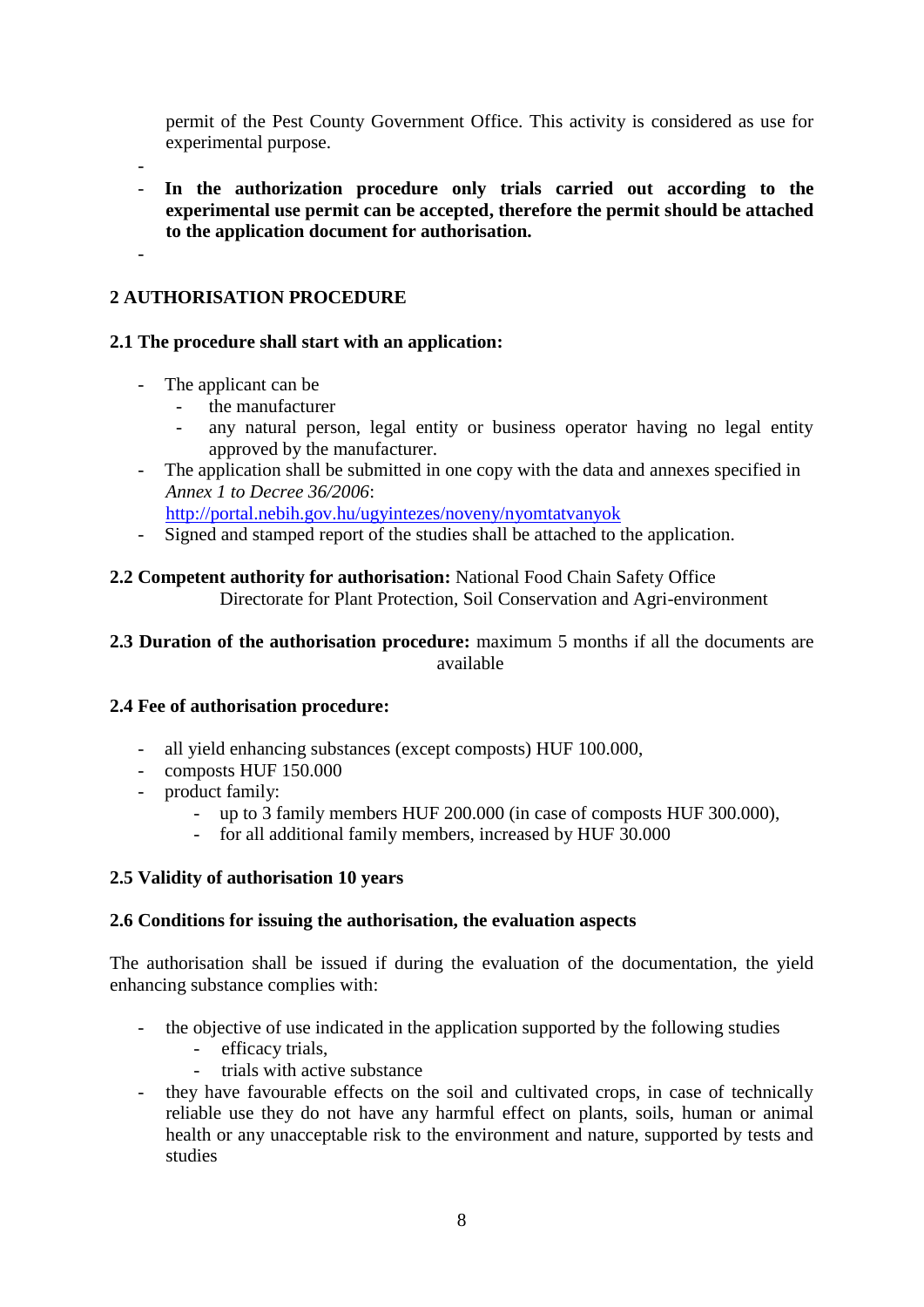permit of the Pest County Government Office. This activity is considered as use for experimental purpose.

-

-

- **In the authorization procedure only trials carried out according to the experimental use permit can be accepted, therefore the permit should be attached to the application document for authorisation.**

# **2 AUTHORISATION PROCEDURE**

# **2.1 The procedure shall start with an application:**

- The applicant can be
	- the manufacturer
	- any natural person, legal entity or business operator having no legal entity approved by the manufacturer.
- The application shall be submitted in one copy with the data and annexes specified in *Annex 1 to Decree 36/2006*:
	- <http://portal.nebih.gov.hu/ugyintezes/noveny/nyomtatvanyok>
- Signed and stamped report of the studies shall be attached to the application.

## **2.2 Competent authority for authorisation:** National Food Chain Safety Office Directorate for Plant Protection, Soil Conservation and Agri-environment

# **2.3 Duration of the authorisation procedure:** maximum 5 months if all the documents are available

# **2.4 Fee of authorisation procedure:**

- all yield enhancing substances (except composts) HUF 100.000,
- composts HUF 150.000
- product family:
	- up to 3 family members HUF 200.000 (in case of composts HUF 300.000),
	- for all additional family members, increased by HUF 30.000

# **2.5 Validity of authorisation 10 years**

#### **2.6 Conditions for issuing the authorisation, the evaluation aspects**

The authorisation shall be issued if during the evaluation of the documentation, the yield enhancing substance complies with:

- the objective of use indicated in the application supported by the following studies
	- efficacy trials,
	- trials with active substance
- they have favourable effects on the soil and cultivated crops, in case of technically reliable use they do not have any harmful effect on plants, soils, human or animal health or any unacceptable risk to the environment and nature, supported by tests and studies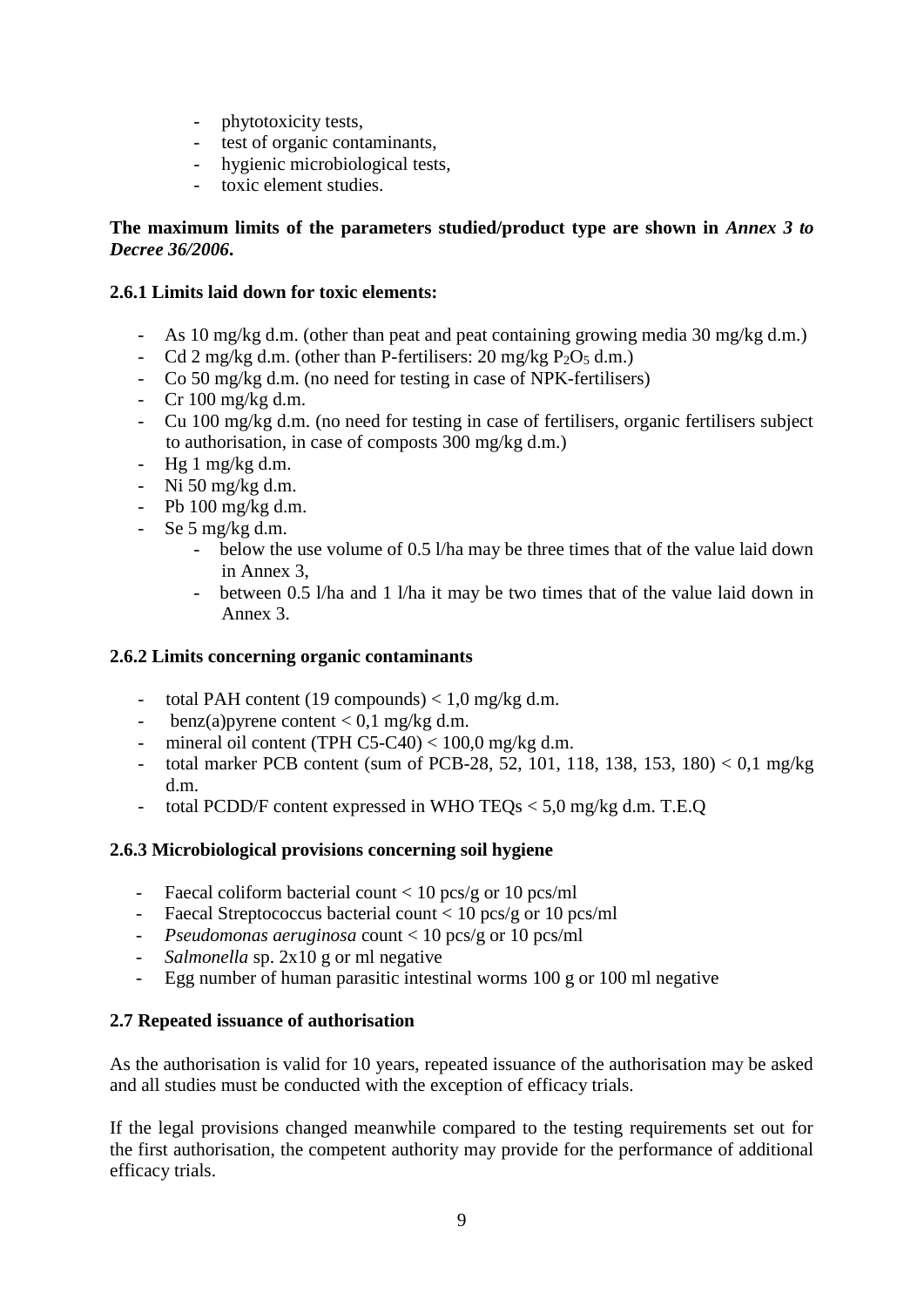- phytotoxicity tests,
- test of organic contaminants,
- hygienic microbiological tests,
- toxic element studies.

# **The maximum limits of the parameters studied/product type are shown in** *Annex 3 to Decree 36/2006***.**

## **2.6.1 Limits laid down for toxic elements:**

- As 10 mg/kg d.m. (other than peat and peat containing growing media 30 mg/kg d.m.)
- Cd 2 mg/kg d.m. (other than P-fertilisers:  $20 \text{ mg/kg}$  P<sub>2</sub>O<sub>5</sub> d.m.)
- Co 50 mg/kg d.m. (no need for testing in case of NPK-fertilisers)
- Cr 100 mg/kg d.m.
- Cu 100 mg/kg d.m. (no need for testing in case of fertilisers, organic fertilisers subject to authorisation, in case of composts 300 mg/kg d.m.)
- $Hg_1 mg/kg dm$ .
- Ni 50 mg/kg d.m.
- Pb 100 mg/kg d.m.
- Se 5 mg/kg d.m.
	- below the use volume of 0.5 l/ha may be three times that of the value laid down in Annex 3,
	- between 0.5 l/ha and 1 l/ha it may be two times that of the value laid down in Annex 3.

# **2.6.2 Limits concerning organic contaminants**

- total PAH content (19 compounds)  $< 1.0$  mg/kg d.m.
- benz(a) pyrene content  $< 0.1$  mg/kg d.m.
- mineral oil content (TPH C5-C40)  $<$  100,0 mg/kg d.m.
- total marker PCB content (sum of PCB-28, 52, 101, 118, 138, 153, 180) < 0,1 mg/kg d.m.
- total PCDD/F content expressed in WHO TEQs < 5,0 mg/kg d.m. T.E.Q

#### **2.6.3 Microbiological provisions concerning soil hygiene**

- Faecal coliform bacterial count < 10 pcs/g or 10 pcs/ml
- Faecal Streptococcus bacterial count < 10 pcs/g or 10 pcs/ml
- *Pseudomonas aeruginosa* count < 10 pcs/g or 10 pcs/ml
- *Salmonella* sp. 2x10 g or ml negative
- Egg number of human parasitic intestinal worms 100 g or 100 ml negative

#### **2.7 Repeated issuance of authorisation**

As the authorisation is valid for 10 years, repeated issuance of the authorisation may be asked and all studies must be conducted with the exception of efficacy trials.

If the legal provisions changed meanwhile compared to the testing requirements set out for the first authorisation, the competent authority may provide for the performance of additional efficacy trials.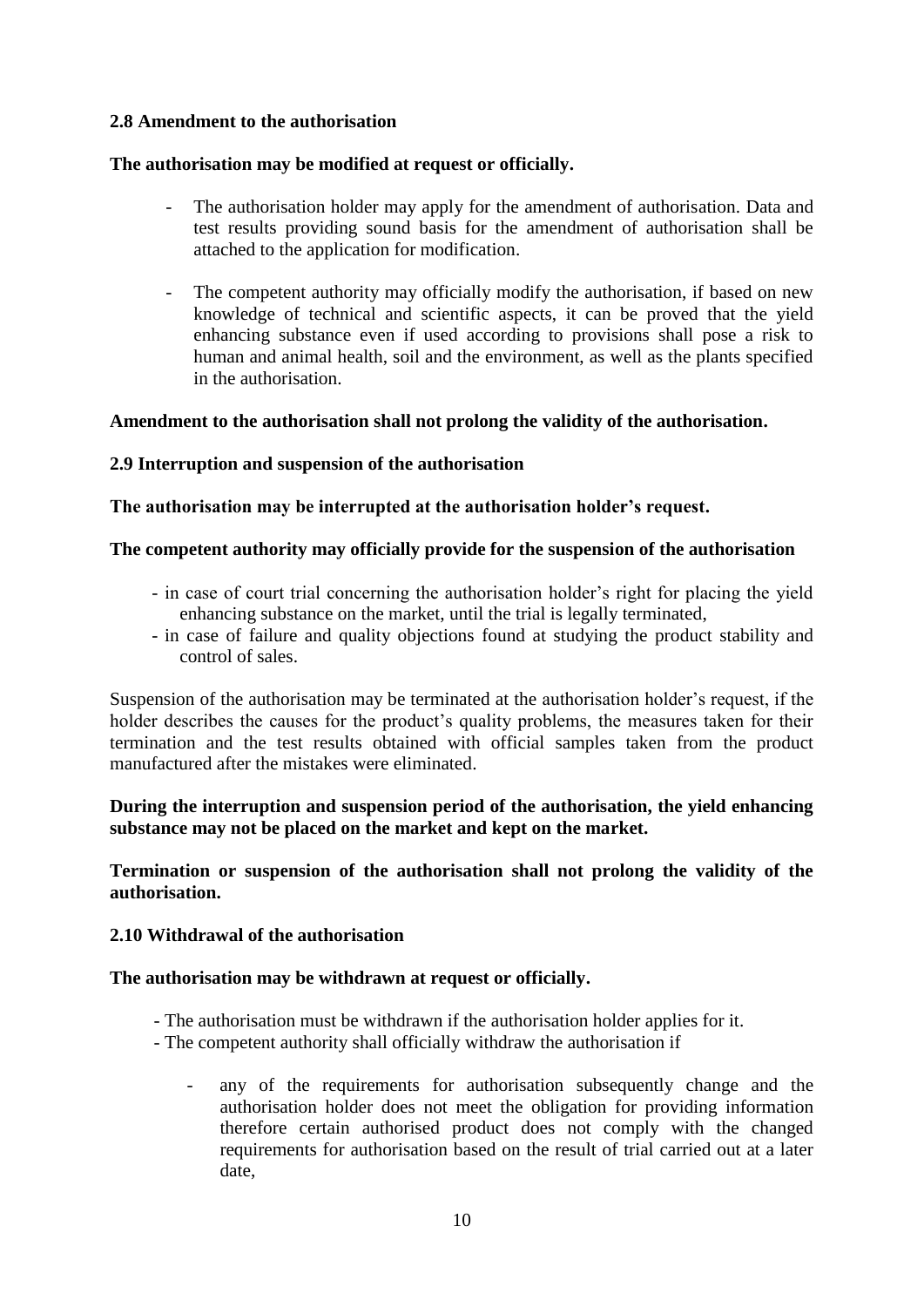# **2.8 Amendment to the authorisation**

## **The authorisation may be modified at request or officially.**

- The authorisation holder may apply for the amendment of authorisation. Data and test results providing sound basis for the amendment of authorisation shall be attached to the application for modification.
- The competent authority may officially modify the authorisation, if based on new knowledge of technical and scientific aspects, it can be proved that the yield enhancing substance even if used according to provisions shall pose a risk to human and animal health, soil and the environment, as well as the plants specified in the authorisation.

## **Amendment to the authorisation shall not prolong the validity of the authorisation.**

## **2.9 Interruption and suspension of the authorisation**

## **The authorisation may be interrupted at the authorisation holder's request.**

## **The competent authority may officially provide for the suspension of the authorisation**

- in case of court trial concerning the authorisation holder's right for placing the yield enhancing substance on the market, until the trial is legally terminated,
- in case of failure and quality objections found at studying the product stability and control of sales.

Suspension of the authorisation may be terminated at the authorisation holder's request, if the holder describes the causes for the product's quality problems, the measures taken for their termination and the test results obtained with official samples taken from the product manufactured after the mistakes were eliminated.

# **During the interruption and suspension period of the authorisation, the yield enhancing substance may not be placed on the market and kept on the market.**

**Termination or suspension of the authorisation shall not prolong the validity of the authorisation.**

#### **2.10 Withdrawal of the authorisation**

#### **The authorisation may be withdrawn at request or officially.**

- The authorisation must be withdrawn if the authorisation holder applies for it.
- The competent authority shall officially withdraw the authorisation if
	- any of the requirements for authorisation subsequently change and the authorisation holder does not meet the obligation for providing information therefore certain authorised product does not comply with the changed requirements for authorisation based on the result of trial carried out at a later date,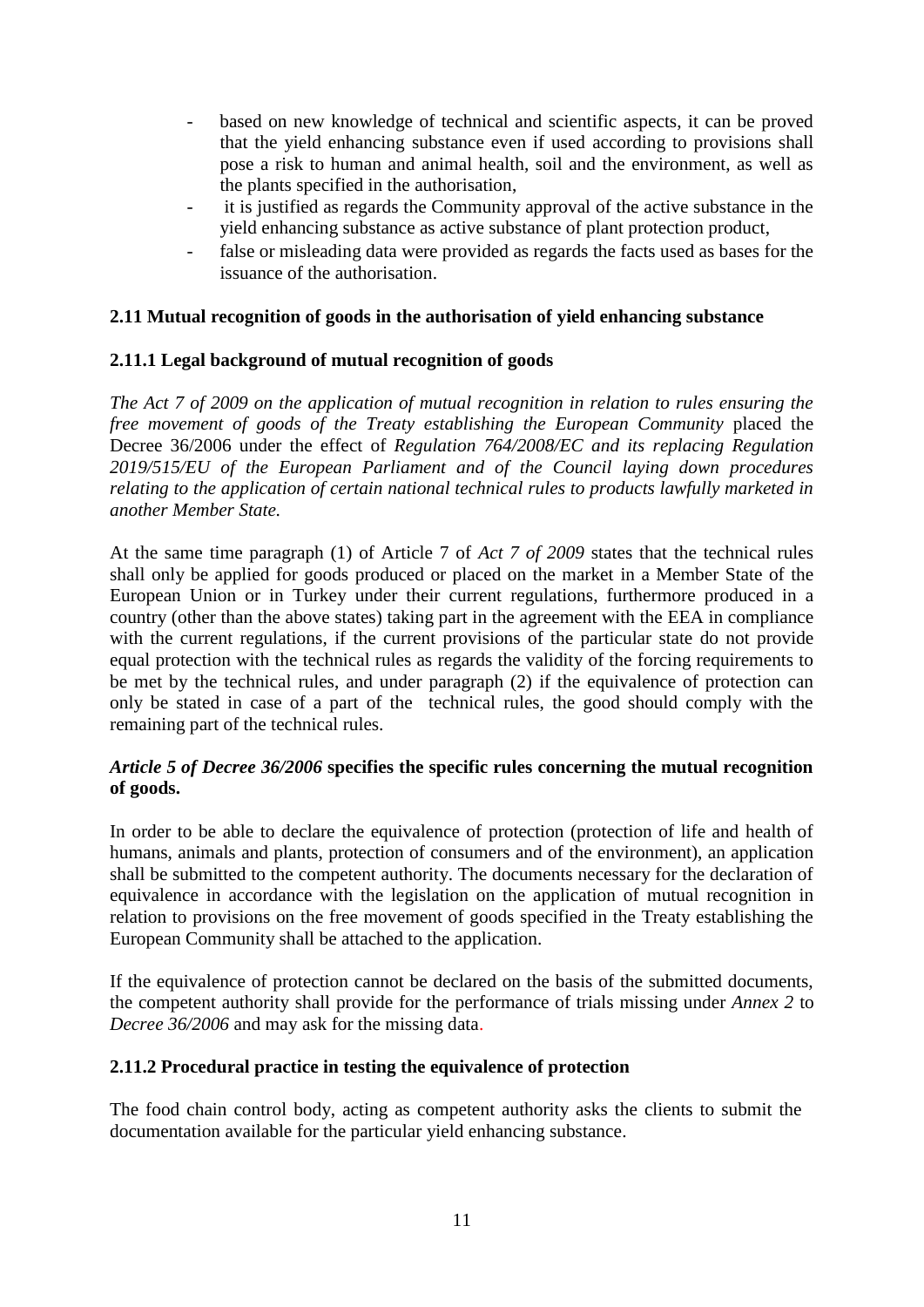- based on new knowledge of technical and scientific aspects, it can be proved that the yield enhancing substance even if used according to provisions shall pose a risk to human and animal health, soil and the environment, as well as the plants specified in the authorisation,
- it is justified as regards the Community approval of the active substance in the yield enhancing substance as active substance of plant protection product,
- false or misleading data were provided as regards the facts used as bases for the issuance of the authorisation.

# **2.11 Mutual recognition of goods in the authorisation of yield enhancing substance**

## **2.11.1 Legal background of mutual recognition of goods**

*The Act 7 of 2009 on the application of mutual recognition in relation to rules ensuring the free movement of goods of the Treaty establishing the European Community* placed the Decree 36/2006 under the effect of *Regulation 764/2008/EC and its replacing Regulation 2019/515/EU of the European Parliament and of the Council laying down procedures relating to the application of certain national technical rules to products lawfully marketed in another Member State.*

At the same time paragraph (1) of Article 7 of *Act 7 of 2009* states that the technical rules shall only be applied for goods produced or placed on the market in a Member State of the European Union or in Turkey under their current regulations, furthermore produced in a country (other than the above states) taking part in the agreement with the EEA in compliance with the current regulations, if the current provisions of the particular state do not provide equal protection with the technical rules as regards the validity of the forcing requirements to be met by the technical rules, and under paragraph (2) if the equivalence of protection can only be stated in case of a part of the technical rules, the good should comply with the remaining part of the technical rules.

## *Article 5 of Decree 36/2006* **specifies the specific rules concerning the mutual recognition of goods.**

In order to be able to declare the equivalence of protection (protection of life and health of humans, animals and plants, protection of consumers and of the environment), an application shall be submitted to the competent authority. The documents necessary for the declaration of equivalence in accordance with the legislation on the application of mutual recognition in relation to provisions on the free movement of goods specified in the Treaty establishing the European Community shall be attached to the application.

If the equivalence of protection cannot be declared on the basis of the submitted documents, the competent authority shall provide for the performance of trials missing under *Annex 2* to *Decree 36/2006* and may ask for the missing data.

# **2.11.2 Procedural practice in testing the equivalence of protection**

The food chain control body, acting as competent authority asks the clients to submit the documentation available for the particular yield enhancing substance.